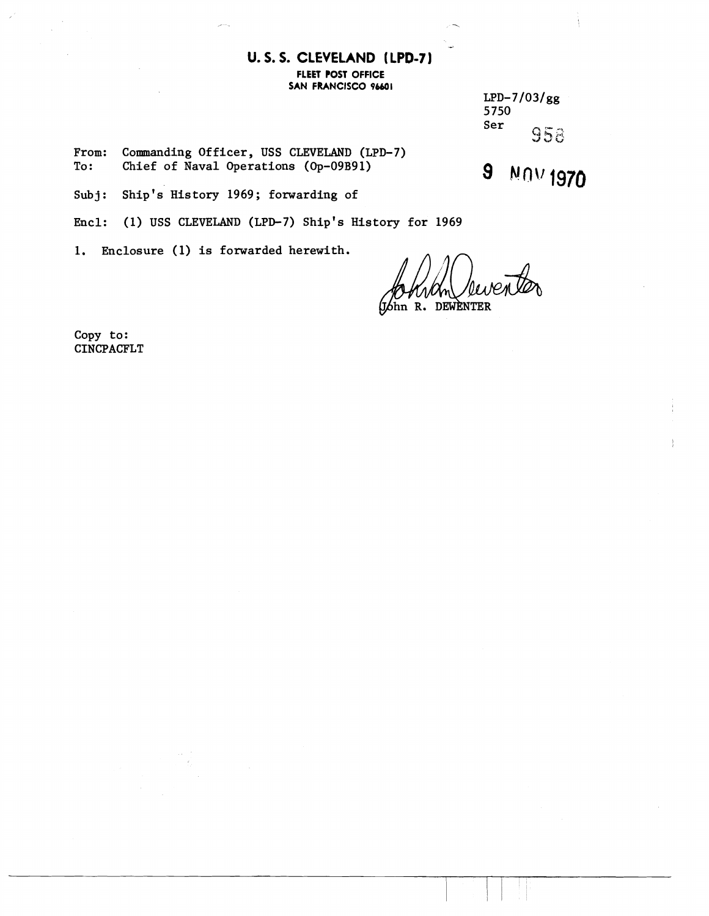## **U. S. S. CLEVELAND** ( **LPD-7)**

**FLEET POST OFFICE SAN FRANCISCO 96.601** 

 $LPD-7/03/gg$ 5750 **Ser** Q56 *aB* 

**MOV1970** 

 $\boldsymbol{9}$ 

From: Commanding Officer, USS CLEVELAND (LPD-7)<br>To: Chief of Naval Operations (Op-09B91) **To: Chief of Naval Operations (Op-09B91)** 

**Subj: Ship's History 1969; forwarding of** 

**Encl: (1) USS CLEVELAND (LPD-7) Ship's History for 1969** 

**1. Enclosure (1) is forwarded herewith.** 

John R. DEWENTER

**Copy to** : **CINCPACFLT**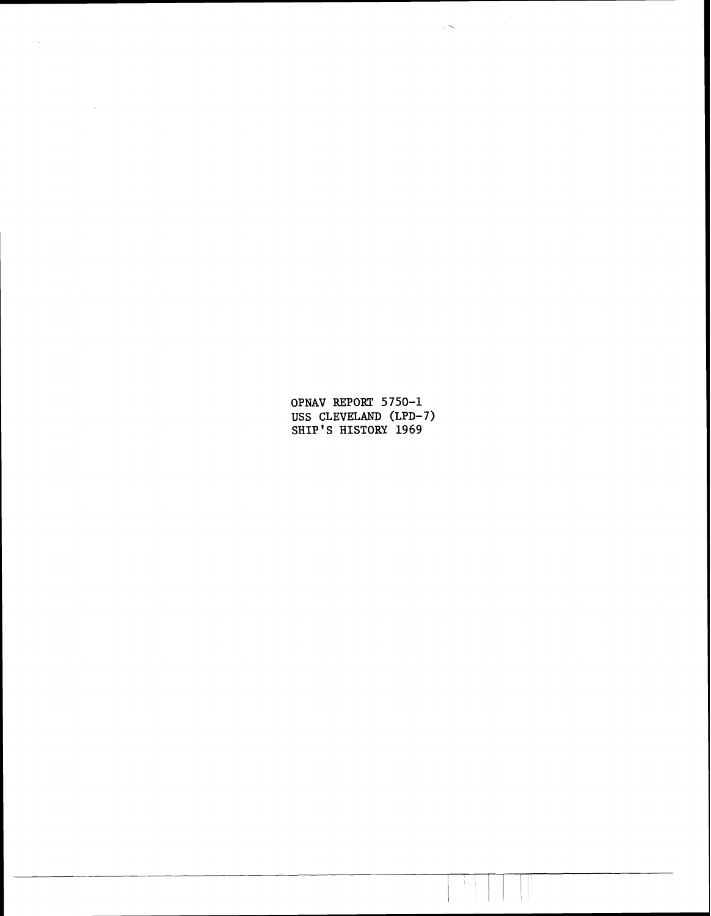OPNAV REPORT 5750-1 USS CLEVELAND (LPD-7) SHIP'S HISTORY 1969

 $\sim$   $\sim$ 

 $\sim$ 

 $\pm$   $\pm$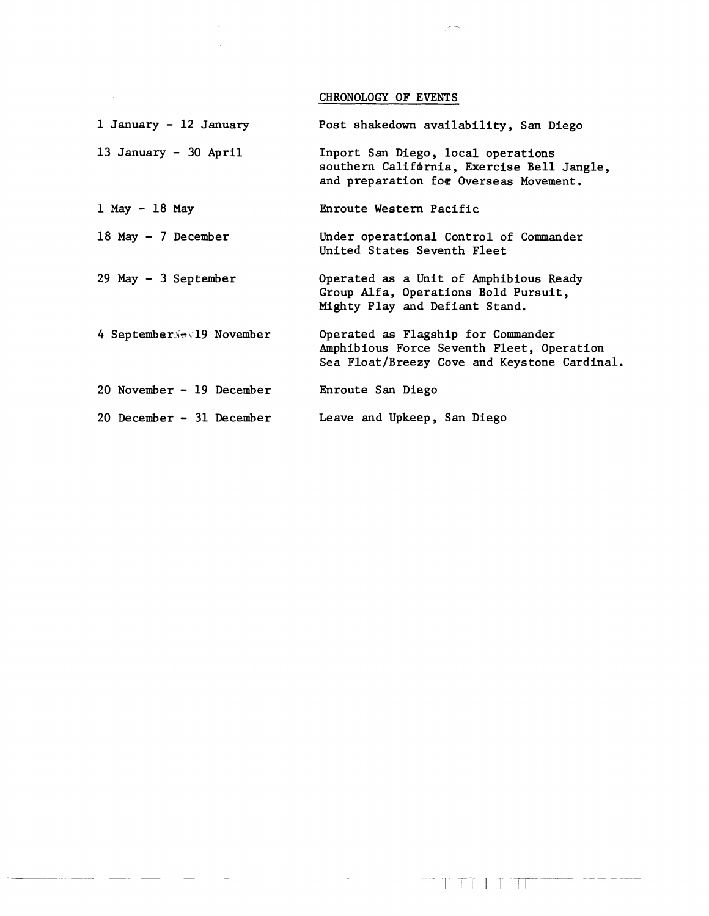CHRONOLOGY OF EVENTS

 $\sim$ 

 $\sim$ 

| 1 January - 12 January     | Post shakedown availability, San Diego                                                                                          |
|----------------------------|---------------------------------------------------------------------------------------------------------------------------------|
| 13 January - 30 April      | Inport San Diego, local operations<br>southern California, Exercise Bell Jangle,<br>and preparation for Overseas Movement.      |
| $1$ May - 18 May           | Enroute Western Pacific                                                                                                         |
| 18 May - 7 December        | Under operational Control of Commander<br>United States Seventh Fleet                                                           |
| 29 May - 3 September       | Operated as a Unit of Amphibious Ready<br>Group Alfa, Operations Bold Pursuit,<br>Mighty Play and Defiant Stand.                |
| 4 September Wev19 November | Operated as Flagship for Commander<br>Amphibious Force Seventh Fleet, Operation<br>Sea Float/Breezy Cove and Keystone Cardinal. |
| 20 November - 19 December  | Enroute San Diego                                                                                                               |
| 20 December - 31 December  | Leave and Upkeep, San Diego                                                                                                     |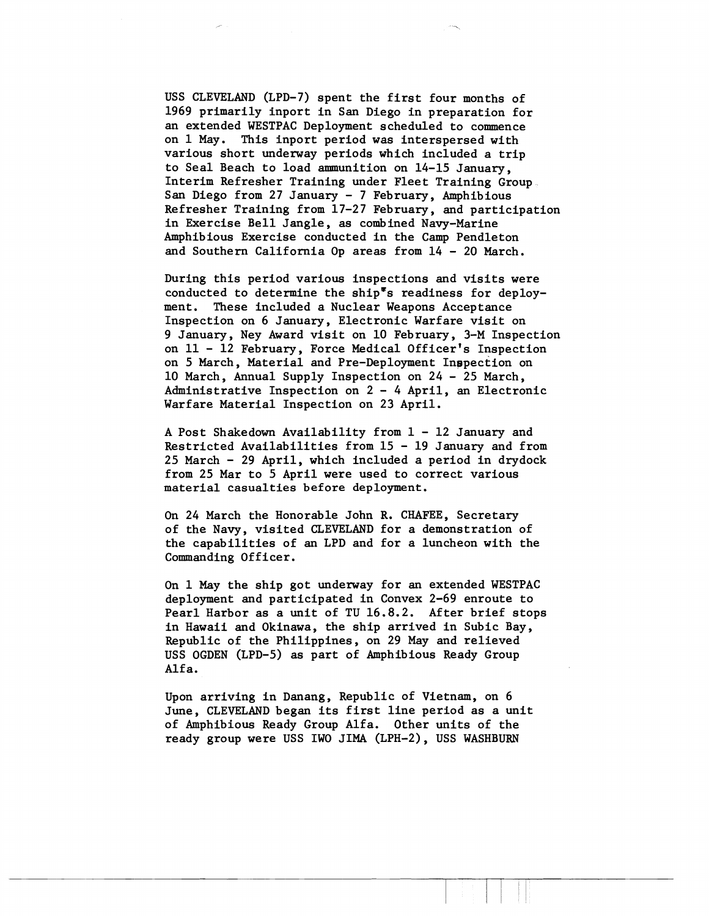USS CLEVELAND (LPD-7) spent the first four months of 1969 primarily inport in San Diego in preparation for an extended WESTPAC Deployment scheduled to commence on 1 May. This inport period was interspersed with various short underway periods which included a trip to Seal Beach to load ammunition on 14-15 January, Interim Refresher Training under Fleet Training Group San Diego from 27 January - 7 February, Amphibious Refresher Training from 17-27 February, and participation in Exercise Bell Jangle, as combined Navy-Marine Amphibious Exercise conducted in the Camp Pendleton and Southern California Op areas from 14 - 20 March.

During this period various inspections and visits were conducted to determine the ship"s readiness for deployment. These included a Nuclear Weapons Acceptance Inspection on 6 January, Electronic Warfare visit on 9 January, Ney Award visit on 10 February, 3-M Inspection on 11 - 12 February, Force Medical Officer's Inspection on 5 March, Material and Pre-Deployment lnapection on 10 March, Annual Supply Inspection on 24 - 25 March, Administrative Inspection on 2 - 4 April, an Electronic Warfare Material Inspection on 23 April.

A Post Shakedown Availability from 1 - 12 January and Restricted Availabilities from 15 - 19 January and from 25 March - 29 April, which included a period in drydock from 25 Mar to 5 April were used to correct various material casualties before deployment.

**On** 24 March the Honorable John R. CHAFEE, Secretary of the Navy, visited CLEVELAND for a demonstration of the capabilities of an LPD and for a luncheon with the Commanding Officer.

On 1 May the ship got underway for an extended WESTPAC deployment and participated in Convex 2-69 enroute to Pearl Harbor as a unit of TU 16.8.2. After brief stops in Hawaii and Okinawa, the ship arrived in Subic Bay, Republic of the Philippines, on 29 May and relieved USS OGDEN (LPD-5) as part of Amphibious Ready Group Alfa.

Upon arriving in Danang, Republic of Vietnam, on 6 June, CLEVELAND began its first line period as a unit of Amphibious Ready Group Alfa. Other units of the ready group were USS IWO JIMA (LPH-2), USS WASHBURN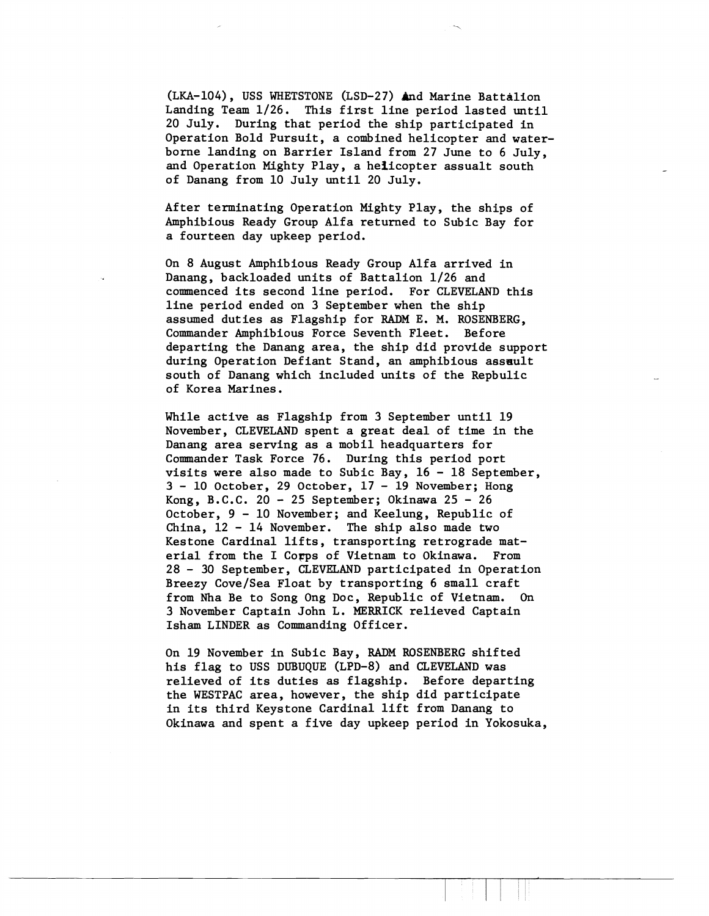(LKA-104), USS WHETSTONE (LSD-27) and Marine Battalion Landing Team 1/26. This first line period lasted until 20 July. During that period the ship participated in Operation Bold Pursuit, a combined helicopter and waterborne landing on Barrier Island from 27 June to 6 July, and Operation Mighty Play, a helicopter assualt south of Danang from 10 July until 20 July,

After terminating Operation Mighty Play, the ships of Amphibious Ready Group Alfa returned to Subic Bay for a fourteen day upkeep period.

On 8 August Amphibious Ready Group Alfa arrived in Danang, backloaded units of Battalion 1/26 and commenced its second line period. For CLEVELAND this line period ended on 3 September when the ship assumed duties as Flagship for **RADM** E. M. ROSENBERG, Commander Amphibious Force Seventh Fleet. Before departing the Danang area, the ship did provide support during Operation Defiant Stand, an amphibious assault south of Danang which included units of the Repbulic of Korea Marines.

While active as Flagship from 3 September until 19 November, CLEVELAND spent a great deal of time in the Danang area serving as a mobil headquarters for Commander Task Force 76. During this period port visits were also made to Subic Bay, 16 - 18 September, <sup>3</sup>- 10 October, 29 October, 17 - 19 November; Hong Kong, B.C.C. 20 - 25 September; Okinawa 25 - <sup>26</sup> October, 9 - 10 November; and Keelung, Republic of China, 12 - 14 November. The ship also made two Kestone Cardinal lifts, transporting retrograde material from the I Corps of Vietnam to Okinawa. From <sup>28</sup>- 30 September, CLEVELAND participated in Operation Breezy Cove/Sea Float by transporting 6 small craft from Nha Be to Song Ong Doc, Republic of Vietnam. **On**  3 November Captain John L. MERRICK relieved Captain Isham LINDER as Commanding Officer .

On 19 November in Subic Bay, RADM ROSENBERG shifted his flag to USS DUBUQUE (LPD-8) and CLEVELAND was relieved of its duties as flagship. Before departing the WESTPAC area, however, the ship did participate in its third Keystone Cardinal lift from Danang to Okinawa and spent a five day upkeep period in Yokosuka,